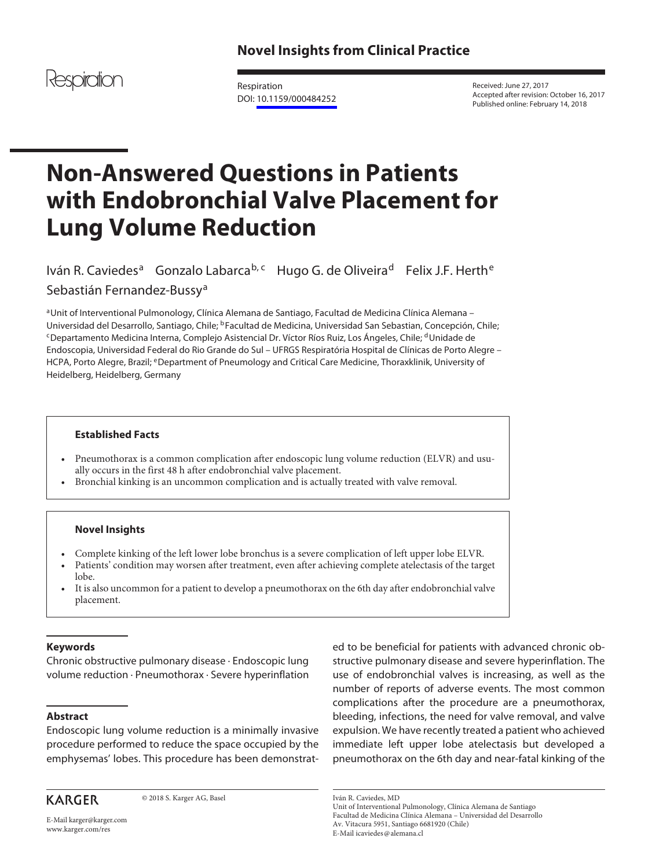

Respiration DOI: [10.1159/000484252](http://dx.doi.org/10.1159%2F000484252)

Received: June 27, 2017 Accepted after revision: October 16, 2017 Published online: February 14, 2018

# **Non-Answered Questions in Patients with Endobronchial Valve Placement for Lung Volume Reduction**

lván R. Caviedes<sup>a</sup> Gonzalo Labarca<sup>b, c</sup>hugo G. de Oliveira<sup>d</sup> Felix J.F. Herth<sup>e</sup> Sebastián Fernandez-Bussy<sup>a</sup>

aUnit of Interventional Pulmonology, Clínica Alemana de Santiago, Facultad de Medicina Clínica Alemana – Universidad del Desarrollo, Santiago, Chile; <sup>b</sup>Facultad de Medicina, Universidad San Sebastian, Concepción, Chile; <sup>c</sup>Departamento Medicina Interna, Complejo Asistencial Dr. Víctor Ríos Ruiz, Los Ángeles, Chile; <sup>d</sup>Unidad Endoscopia, Universidad Federal do Rio Grande do Sul – UFRGS Respiratória Hospital de Clínicas de Porto Alegre – HCPA, Porto Alegre, Brazil; eDepartment of Pneumology and Critical Care Medicine, Thoraxklinik, University of Heidelberg, Heidelberg, Germany

# **Established Facts**

- Pneumothorax is a common complication after endoscopic lung volume reduction (ELVR) and usually occurs in the first 48 h after endobronchial valve placement.
- Bronchial kinking is an uncommon complication and is actually treated with valve removal.

## **Novel Insights**

- Complete kinking of the left lower lobe bronchus is a severe complication of left upper lobe ELVR.
- Patients' condition may worsen after treatment, even after achieving complete atelectasis of the target lobe.
- It is also uncommon for a patient to develop a pneumothorax on the 6th day after endobronchial valve placement.

# **Keywords**

Chronic obstructive pulmonary disease · Endoscopic lung volume reduction · Pneumothorax · Severe hyperinflation

## **Abstract**

Endoscopic lung volume reduction is a minimally invasive procedure performed to reduce the space occupied by the emphysemas' lobes. This procedure has been demonstrat-

**KARGER** 

© 2018 S. Karger AG, Basel

E-Mail karger@karger.com www.karger.com/res

ed to be beneficial for patients with advanced chronic obstructive pulmonary disease and severe hyperinflation. The use of endobronchial valves is increasing, as well as the number of reports of adverse events. The most common complications after the procedure are a pneumothorax, bleeding, infections, the need for valve removal, and valve expulsion. We have recently treated a patient who achieved immediate left upper lobe atelectasis but developed a pneumothorax on the 6th day and near-fatal kinking of the

Iván R. Caviedes, MD

Unit of Interventional Pulmonology, Clínica Alemana de Santiago Facultad de Medicina Clínica Alemana – Universidad del Desarrollo Av. Vitacura 5951, Santiago 6681920 (Chile) E-Mail icaviedes@alemana.cl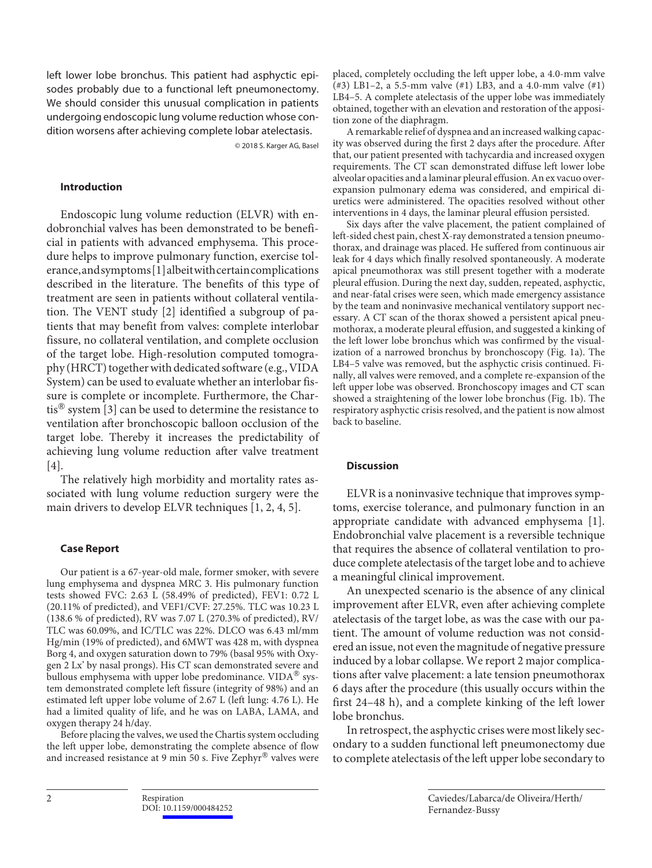left lower lobe bronchus. This patient had asphyctic episodes probably due to a functional left pneumonectomy. We should consider this unusual complication in patients undergoing endoscopic lung volume reduction whose condition worsens after achieving complete lobar atelectasis.

© 2018 S. Karger AG, Basel

#### **Introduction**

Endoscopic lung volume reduction (ELVR) with endobronchial valves has been demonstrated to be beneficial in patients with advanced emphysema. This procedure helps to improve pulmonary function, exercise tolerance, and symptoms [1] albeit with certain complications described in the literature. The benefits of this type of treatment are seen in patients without collateral ventilation. The VENT study [2] identified a subgroup of patients that may benefit from valves: complete interlobar fissure, no collateral ventilation, and complete occlusion of the target lobe. High-resolution computed tomography (HRCT) together with dedicated software (e.g., VIDA System) can be used to evaluate whether an interlobar fissure is complete or incomplete. Furthermore, the Chartis<sup>®</sup> system [3] can be used to determine the resistance to ventilation after bronchoscopic balloon occlusion of the target lobe. Thereby it increases the predictability of achieving lung volume reduction after valve treatment [4].

The relatively high morbidity and mortality rates associated with lung volume reduction surgery were the main drivers to develop ELVR techniques [1, 2, 4, 5].

#### **Case Report**

Our patient is a 67-year-old male, former smoker, with severe lung emphysema and dyspnea MRC 3. His pulmonary function tests showed FVC: 2.63 L (58.49% of predicted), FEV1: 0.72 L (20.11% of predicted), and VEF1/CVF: 27.25%. TLC was 10.23 L (138.6 % of predicted), RV was 7.07 L (270.3% of predicted), RV/ TLC was 60.09%, and IC/TLC was 22%. DLCO was 6.43 ml/mm Hg/min (19% of predicted), and 6MWT was 428 m, with dyspnea Borg 4, and oxygen saturation down to 79% (basal 95% with Oxygen 2 Lx' by nasal prongs). His CT scan demonstrated severe and bullous emphysema with upper lobe predominance. VIDA<sup>®</sup> system demonstrated complete left fissure (integrity of 98%) and an estimated left upper lobe volume of 2.67 L (left lung: 4.76 L). He had a limited quality of life, and he was on LABA, LAMA, and oxygen therapy 24 h/day.

Before placing the valves, we used the Chartis system occluding the left upper lobe, demonstrating the complete absence of flow and increased resistance at 9 min 50 s. Five Zephyr® valves were

placed, completely occluding the left upper lobe, a 4.0-mm valve (#3) LB1–2, a 5.5-mm valve  $(41)$  LB3, and a 4.0-mm valve  $(41)$ LB4–5. A complete atelectasis of the upper lobe was immediately obtained, together with an elevation and restoration of the apposition zone of the diaphragm.

A remarkable relief of dyspnea and an increased walking capacity was observed during the first 2 days after the procedure. After that, our patient presented with tachycardia and increased oxygen requirements. The CT scan demonstrated diffuse left lower lobe alveolar opacities and a laminar pleural effusion. An ex vacuo overexpansion pulmonary edema was considered, and empirical diuretics were administered. The opacities resolved without other interventions in 4 days, the laminar pleural effusion persisted.

Six days after the valve placement, the patient complained of left-sided chest pain, chest X-ray demonstrated a tension pneumothorax, and drainage was placed. He suffered from continuous air leak for 4 days which finally resolved spontaneously. A moderate apical pneumothorax was still present together with a moderate pleural effusion. During the next day, sudden, repeated, asphyctic, and near-fatal crises were seen, which made emergency assistance by the team and noninvasive mechanical ventilatory support necessary. A CT scan of the thorax showed a persistent apical pneumothorax, a moderate pleural effusion, and suggested a kinking of the left lower lobe bronchus which was confirmed by the visualization of a narrowed bronchus by bronchoscopy (Fig. 1a). The LB4–5 valve was removed, but the asphyctic crisis continued. Finally, all valves were removed, and a complete re-expansion of the left upper lobe was observed. Bronchoscopy images and CT scan showed a straightening of the lower lobe bronchus (Fig. 1b). The respiratory asphyctic crisis resolved, and the patient is now almost back to baseline.

#### **Discussion**

ELVR is a noninvasive technique that improves symptoms, exercise tolerance, and pulmonary function in an appropriate candidate with advanced emphysema [1]. Endobronchial valve placement is a reversible technique that requires the absence of collateral ventilation to produce complete atelectasis of the target lobe and to achieve a meaningful clinical improvement.

An unexpected scenario is the absence of any clinical improvement after ELVR, even after achieving complete atelectasis of the target lobe, as was the case with our patient. The amount of volume reduction was not considered an issue, not even the magnitude of negative pressure induced by a lobar collapse. We report 2 major complications after valve placement: a late tension pneumothorax 6 days after the procedure (this usually occurs within the first 24–48 h), and a complete kinking of the left lower lobe bronchus.

In retrospect, the asphyctic crises were most likely secondary to a sudden functional left pneumonectomy due to complete atelectasis of the left upper lobe secondary to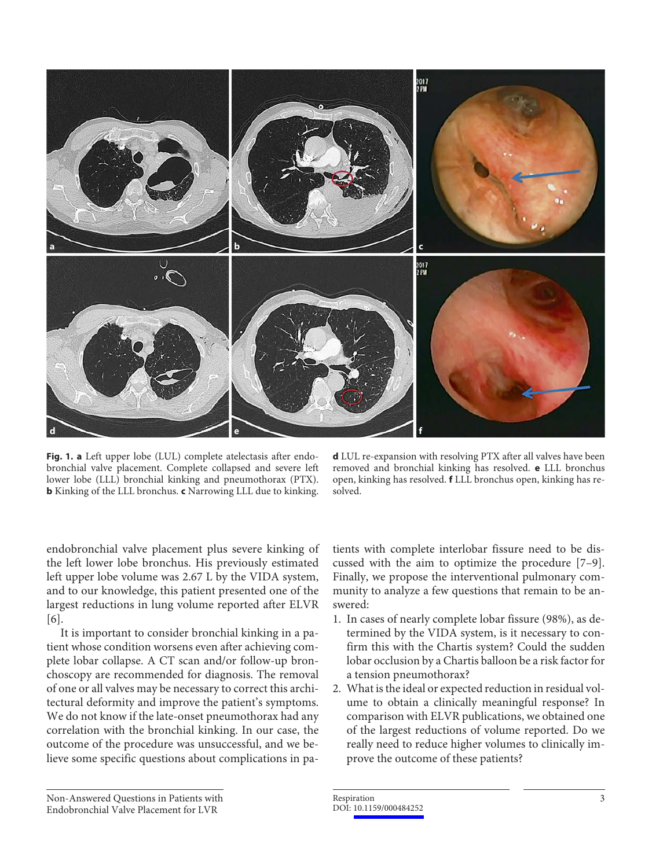

**Fig. 1. a** Left upper lobe (LUL) complete atelectasis after endobronchial valve placement. Complete collapsed and severe left lower lobe (LLL) bronchial kinking and pneumothorax (PTX). **b** Kinking of the LLL bronchus. **c** Narrowing LLL due to kinking.

**d** LUL re-expansion with resolving PTX after all valves have been removed and bronchial kinking has resolved. **e** LLL bronchus open, kinking has resolved. **f** LLL bronchus open, kinking has resolved.

endobronchial valve placement plus severe kinking of the left lower lobe bronchus. His previously estimated left upper lobe volume was 2.67 L by the VIDA system, and to our knowledge, this patient presented one of the largest reductions in lung volume reported after ELVR [6].

It is important to consider bronchial kinking in a patient whose condition worsens even after achieving complete lobar collapse. A CT scan and/or follow-up bronchoscopy are recommended for diagnosis. The removal of one or all valves may be necessary to correct this architectural deformity and improve the patient's symptoms. We do not know if the late-onset pneumothorax had any correlation with the bronchial kinking. In our case, the outcome of the procedure was unsuccessful, and we believe some specific questions about complications in patients with complete interlobar fissure need to be discussed with the aim to optimize the procedure [7–9]. Finally, we propose the interventional pulmonary community to analyze a few questions that remain to be answered:

- 1. In cases of nearly complete lobar fissure (98%), as determined by the VIDA system, is it necessary to confirm this with the Chartis system? Could the sudden lobar occlusion by a Chartis balloon be a risk factor for a tension pneumothorax?
- 2. What is the ideal or expected reduction in residual volume to obtain a clinically meaningful response? In comparison with ELVR publications, we obtained one of the largest reductions of volume reported. Do we really need to reduce higher volumes to clinically improve the outcome of these patients?